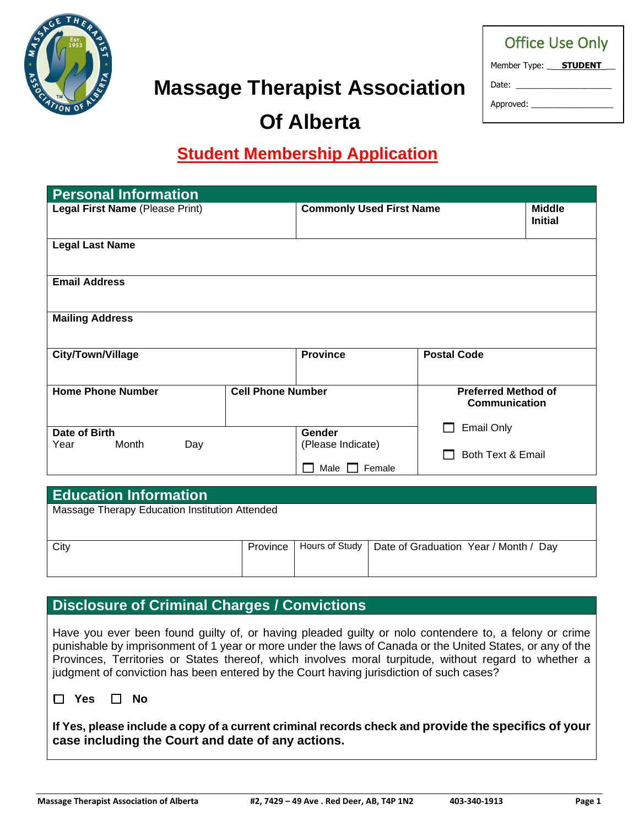

# **Massage Therapist Association**

| <b>Office Use Only</b>              |
|-------------------------------------|
| Member Type: __ <b>__STUDENT</b> __ |
| Date: Date:                         |
| Approved: __                        |
|                                     |

# **Of Alberta**

## **Student Membership Application**

| <b>Personal Information</b>     |                          |                                     |                                             |                                 |  |  |
|---------------------------------|--------------------------|-------------------------------------|---------------------------------------------|---------------------------------|--|--|
| Legal First Name (Please Print) |                          | <b>Commonly Used First Name</b>     |                                             | <b>Middle</b><br><b>Initial</b> |  |  |
| <b>Legal Last Name</b>          |                          |                                     |                                             |                                 |  |  |
| <b>Email Address</b>            |                          |                                     |                                             |                                 |  |  |
| <b>Mailing Address</b>          |                          |                                     |                                             |                                 |  |  |
| <b>City/Town/Village</b>        |                          | <b>Province</b>                     | <b>Postal Code</b>                          |                                 |  |  |
| <b>Home Phone Number</b>        | <b>Cell Phone Number</b> |                                     | <b>Preferred Method of</b><br>Communication |                                 |  |  |
| Date of Birth                   | <b>Gender</b>            |                                     | <b>Email Only</b>                           |                                 |  |  |
| Month<br>Year<br>Day            |                          | (Please Indicate)<br>Female<br>Male | Both Text & Email                           |                                 |  |  |
|                                 |                          |                                     |                                             |                                 |  |  |
| <b>Education Information</b>    |                          |                                     |                                             |                                 |  |  |

Massage Therapy Education Institution Attended

| City |  | Province   Hours of Study   Date of Graduation Year / Month / Day |
|------|--|-------------------------------------------------------------------|
|      |  |                                                                   |

### **Disclosure of Criminal Charges / Convictions**

Have you ever been found guilty of, or having pleaded guilty or nolo contendere to, a felony or crime punishable by imprisonment of 1 year or more under the laws of Canada or the United States, or any of the Provinces, Territories or States thereof, which involves moral turpitude, without regard to whether a judgment of conviction has been entered by the Court having jurisdiction of such cases?

❑ **Yes** ❑ **No**

**If Yes, please include a copy of a current criminal records check and provide the specifics of your case including the Court and date of any actions.**